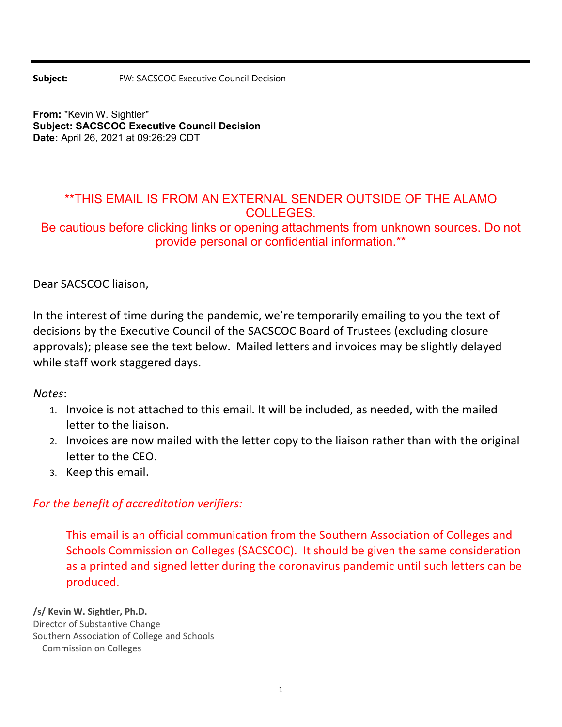**Subject:** FW: SACSCOC Executive Council Decision

**From:** "Kevin W. Sightler" **Subject: SACSCOC Executive Council Decision Date:** April 26, 2021 at 09:26:29 CDT

## \*\*THIS EMAIL IS FROM AN EXTERNAL SENDER OUTSIDE OF THE ALAMO COLLEGES.

Be cautious before clicking links or opening attachments from unknown sources. Do not provide personal or confidential information.\*\*

Dear SACSCOC liaison,

In the interest of time during the pandemic, we're temporarily emailing to you the text of decisions by the Executive Council of the SACSCOC Board of Trustees (excluding closure approvals); please see the text below. Mailed letters and invoices may be slightly delayed while staff work staggered days.

*Notes*:

- 1. Invoice is not attached to this email. It will be included, as needed, with the mailed letter to the liaison.
- 2. Invoices are now mailed with the letter copy to the liaison rather than with the original letter to the CEO.
- 3. Keep this email.

## *For the benefit of accreditation verifiers:*

This email is an official communication from the Southern Association of Colleges and Schools Commission on Colleges (SACSCOC). It should be given the same consideration as a printed and signed letter during the coronavirus pandemic until such letters can be produced.

**/s/ Kevin W. Sightler, Ph.D.** Director of Substantive Change Southern Association of College and Schools Commission on Colleges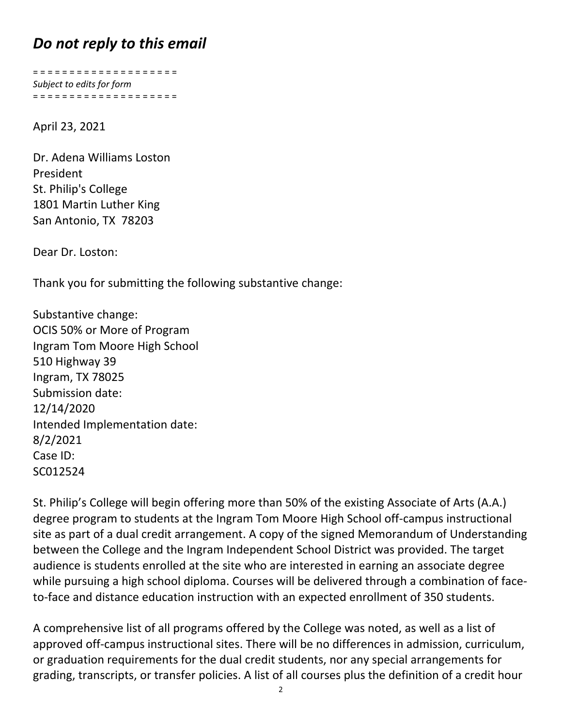## *Do not reply to this email*

= = = = = = = = = = = = = = = = = = = = *Subject to edits for form* = = = = = = = = = = = = = = = = = = = =

April 23, 2021

Dr. Adena Williams Loston President St. Philip's College 1801 Martin Luther King San Antonio, TX 78203

Dear Dr. Loston:

Thank you for submitting the following substantive change:

Substantive change: OCIS 50% or More of Program Ingram Tom Moore High School 510 Highway 39 Ingram, TX 78025 Submission date: 12/14/2020 Intended Implementation date: 8/2/2021 Case ID: SC012524

St. Philip's College will begin offering more than 50% of the existing Associate of Arts (A.A.) degree program to students at the Ingram Tom Moore High School off‐campus instructional site as part of a dual credit arrangement. A copy of the signed Memorandum of Understanding between the College and the Ingram Independent School District was provided. The target audience is students enrolled at the site who are interested in earning an associate degree while pursuing a high school diploma. Courses will be delivered through a combination of face‐ to-face and distance education instruction with an expected enrollment of 350 students.

A comprehensive list of all programs offered by the College was noted, as well as a list of approved off-campus instructional sites. There will be no differences in admission, curriculum, or graduation requirements for the dual credit students, nor any special arrangements for grading, transcripts, or transfer policies. A list of all courses plus the definition of a credit hour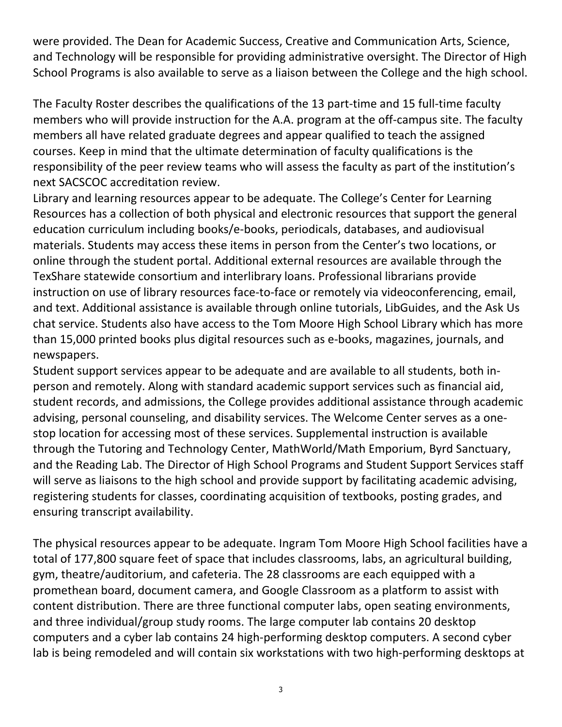were provided. The Dean for Academic Success, Creative and Communication Arts, Science, and Technology will be responsible for providing administrative oversight. The Director of High School Programs is also available to serve as a liaison between the College and the high school.

The Faculty Roster describes the qualifications of the 13 part-time and 15 full-time faculty members who will provide instruction for the A.A. program at the off-campus site. The faculty members all have related graduate degrees and appear qualified to teach the assigned courses. Keep in mind that the ultimate determination of faculty qualifications is the responsibility of the peer review teams who will assess the faculty as part of the institution's next SACSCOC accreditation review.

Library and learning resources appear to be adequate. The College's Center for Learning Resources has a collection of both physical and electronic resources that support the general education curriculum including books/e‐books, periodicals, databases, and audiovisual materials. Students may access these items in person from the Center's two locations, or online through the student portal. Additional external resources are available through the TexShare statewide consortium and interlibrary loans. Professional librarians provide instruction on use of library resources face-to-face or remotely via videoconferencing, email, and text. Additional assistance is available through online tutorials, LibGuides, and the Ask Us chat service. Students also have access to the Tom Moore High School Library which has more than 15,000 printed books plus digital resources such as e‐books, magazines, journals, and newspapers.

Student support services appear to be adequate and are available to all students, both in‐ person and remotely. Along with standard academic support services such as financial aid, student records, and admissions, the College provides additional assistance through academic advising, personal counseling, and disability services. The Welcome Center serves as a one‐ stop location for accessing most of these services. Supplemental instruction is available through the Tutoring and Technology Center, MathWorld/Math Emporium, Byrd Sanctuary, and the Reading Lab. The Director of High School Programs and Student Support Services staff will serve as liaisons to the high school and provide support by facilitating academic advising, registering students for classes, coordinating acquisition of textbooks, posting grades, and ensuring transcript availability.

The physical resources appear to be adequate. Ingram Tom Moore High School facilities have a total of 177,800 square feet of space that includes classrooms, labs, an agricultural building, gym, theatre/auditorium, and cafeteria. The 28 classrooms are each equipped with a promethean board, document camera, and Google Classroom as a platform to assist with content distribution. There are three functional computer labs, open seating environments, and three individual/group study rooms. The large computer lab contains 20 desktop computers and a cyber lab contains 24 high‐performing desktop computers. A second cyber lab is being remodeled and will contain six workstations with two high-performing desktops at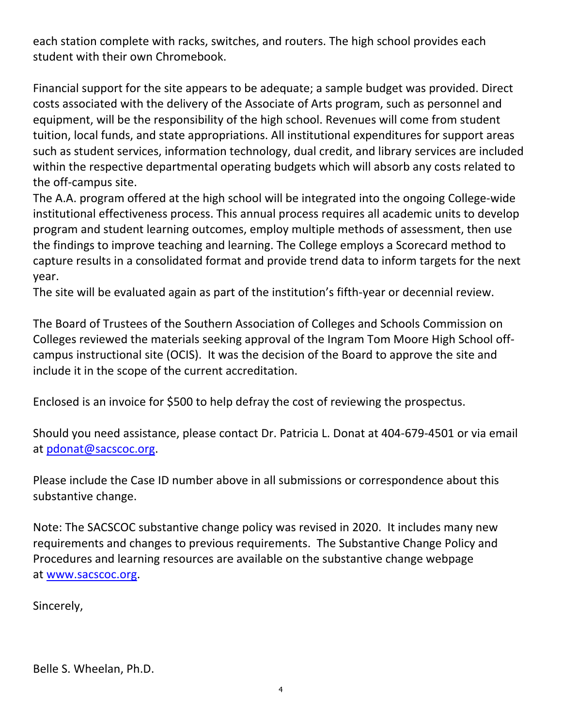each station complete with racks, switches, and routers. The high school provides each student with their own Chromebook.

Financial support for the site appears to be adequate; a sample budget was provided. Direct costs associated with the delivery of the Associate of Arts program, such as personnel and equipment, will be the responsibility of the high school. Revenues will come from student tuition, local funds, and state appropriations. All institutional expenditures for support areas such as student services, information technology, dual credit, and library services are included within the respective departmental operating budgets which will absorb any costs related to the off‐campus site.

The A.A. program offered at the high school will be integrated into the ongoing College‐wide institutional effectiveness process. This annual process requires all academic units to develop program and student learning outcomes, employ multiple methods of assessment, then use the findings to improve teaching and learning. The College employs a Scorecard method to capture results in a consolidated format and provide trend data to inform targets for the next year.

The site will be evaluated again as part of the institution's fifth-year or decennial review.

The Board of Trustees of the Southern Association of Colleges and Schools Commission on Colleges reviewed the materials seeking approval of the Ingram Tom Moore High School off‐ campus instructional site (OCIS). It was the decision of the Board to approve the site and include it in the scope of the current accreditation.

Enclosed is an invoice for \$500 to help defray the cost of reviewing the prospectus.

Should you need assistance, please contact Dr. Patricia L. Donat at 404‐679‐4501 or via email at pdonat@sacscoc.org.

Please include the Case ID number above in all submissions or correspondence about this substantive change.

Note: The SACSCOC substantive change policy was revised in 2020. It includes many new requirements and changes to previous requirements. The Substantive Change Policy and Procedures and learning resources are available on the substantive change webpage at www.sacscoc.org.

Sincerely,